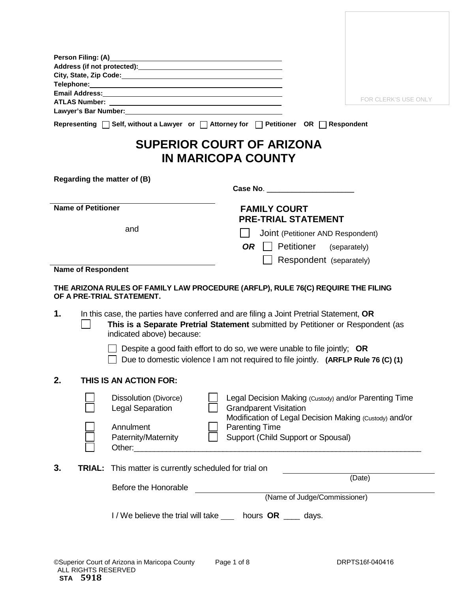|                             | Email Address: No. 2014 12:00 12:00 12:00 12:00 12:00 12:00 12:00 12:00 12:00 12:00 12:00 12:00 12:00 12:00 1 |                                                                                                                                                                           |
|-----------------------------|---------------------------------------------------------------------------------------------------------------|---------------------------------------------------------------------------------------------------------------------------------------------------------------------------|
|                             |                                                                                                               | FOR CLERK'S USE ONLY                                                                                                                                                      |
|                             |                                                                                                               |                                                                                                                                                                           |
|                             |                                                                                                               | Representing   Self, without a Lawyer or   Attorney for   Petitioner OR   Respondent                                                                                      |
|                             |                                                                                                               | <b>SUPERIOR COURT OF ARIZONA</b><br><b>IN MARICOPA COUNTY</b>                                                                                                             |
| Regarding the matter of (B) |                                                                                                               |                                                                                                                                                                           |
|                             |                                                                                                               |                                                                                                                                                                           |
| <b>Name of Petitioner</b>   |                                                                                                               | <b>FAMILY COURT</b><br><b>PRE-TRIAL STATEMENT</b>                                                                                                                         |
|                             | and                                                                                                           | Joint (Petitioner AND Respondent)                                                                                                                                         |
|                             |                                                                                                               | $OR \mid$ Petitioner<br>(separately)                                                                                                                                      |
|                             |                                                                                                               | Respondent (separately)                                                                                                                                                   |
| <b>Name of Respondent</b>   |                                                                                                               |                                                                                                                                                                           |
|                             | OF A PRE-TRIAL STATEMENT.                                                                                     | THE ARIZONA RULES OF FAMILY LAW PROCEDURE (ARFLP), RULE 76(C) REQUIRE THE FILING                                                                                          |
| 1.                          | indicated above) because:                                                                                     | In this case, the parties have conferred and are filing a Joint Pretrial Statement, OR<br>This is a Separate Pretrial Statement submitted by Petitioner or Respondent (as |
|                             |                                                                                                               | Despite a good faith effort to do so, we were unable to file jointly; OR<br>Due to domestic violence I am not required to file jointly. (ARFLP Rule 76 (C) (1)            |
| 2.                          | THIS IS AN ACTION FOR:                                                                                        |                                                                                                                                                                           |
|                             | Dissolution (Divorce)<br><b>Legal Separation</b>                                                              | Legal Decision Making (Custody) and/or Parenting Time<br><b>Grandparent Visitation</b><br>Modification of Legal Decision Making (Custody) and/or                          |
|                             | Annulment                                                                                                     | <b>Parenting Time</b>                                                                                                                                                     |
|                             | Paternity/Maternity                                                                                           | Support (Child Support or Spousal)                                                                                                                                        |
| 3.<br><b>TRIAL:</b>         | This matter is currently scheduled for trial on                                                               |                                                                                                                                                                           |
|                             | Before the Honorable                                                                                          | (Date)                                                                                                                                                                    |
|                             |                                                                                                               | (Name of Judge/Commissioner)                                                                                                                                              |
|                             |                                                                                                               |                                                                                                                                                                           |
|                             |                                                                                                               | I/We believe the trial will take ___ hours OR ___ days.                                                                                                                   |
|                             |                                                                                                               |                                                                                                                                                                           |
|                             |                                                                                                               |                                                                                                                                                                           |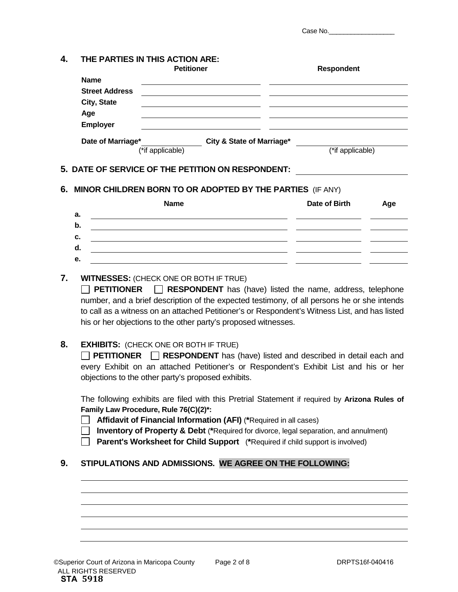Case No.

# **4. THE PARTIES IN THIS ACTION ARE:**

|                       | <b>Petitioner</b>         | <b>Respondent</b> |
|-----------------------|---------------------------|-------------------|
| <b>Name</b>           |                           |                   |
| <b>Street Address</b> |                           |                   |
| City, State           |                           |                   |
| Age                   |                           |                   |
| Employer              |                           |                   |
| Date of Marriage*     | City & State of Marriage* |                   |
|                       | (*if applicable)          | (*if applicable)  |

# **5. DATE OF SERVICE OF THE PETITION ON RESPONDENT:**

# **6. MINOR CHILDREN BORN TO OR ADOPTED BY THE PARTIES** (IF ANY)

|    | <b>Name</b> | Date of Birth | Age |
|----|-------------|---------------|-----|
| а. |             |               |     |
| b. |             |               |     |
| c. |             |               |     |
| a. |             |               |     |
| е. |             |               |     |

# **7. WITNESSES:** (CHECK ONE OR BOTH IF TRUE)

**PETITIONER RESPONDENT** has (have) listed the name, address, telephone number, and a brief description of the expected testimony, of all persons he or she intends to call as a witness on an attached Petitioner's or Respondent's Witness List, and has listed his or her objections to the other party's proposed witnesses.

# **8. EXHIBITS:** (CHECK ONE OR BOTH IF TRUE)

**PETITIONER RESPONDENT** has (have) listed and described in detail each and every Exhibit on an attached Petitioner's or Respondent's Exhibit List and his or her objections to the other party's proposed exhibits.

The following exhibits are filed with this Pretrial Statement if required by **Arizona Rules of Family Law Procedure, Rule 76(C)(2)\*:**

**Affidavit of Financial Information (AFI)** (**\***Required in all cases)

**Inventory of Property & Debt** (\*Required for divorce, legal separation, and annulment)

**Parent's Worksheet for Child Support** (\*Required if child support is involved)

# **9. STIPULATIONS AND ADMISSIONS. WE AGREE ON THE FOLLOWING:**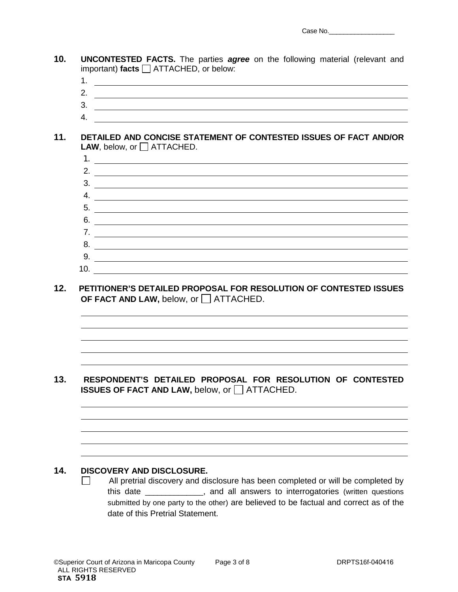- **10. UNCONTESTED FACTS.** The parties *agree* on the following material (relevant and important) **facts** ATTACHED, or below:
	- 1.
	- 2.
	- 3.
	- 4.

#### **11. DETAILED AND CONCISE STATEMENT OF CONTESTED ISSUES OF FACT AND/OR LAW**, below, or  $\Box$  ATTACHED.

| 2.  |  |
|-----|--|
| 3.  |  |
| 4.  |  |
| 5.  |  |
| 6.  |  |
| 7.  |  |
| 8.  |  |
| 9.  |  |
| 10. |  |

**12. PETITIONER'S DETAILED PROPOSAL FOR RESOLUTION OF CONTESTED ISSUES OF FACT AND LAW, below, or**  $\Box$  **ATTACHED.** 

### **13. RESPONDENT'S DETAILED PROPOSAL FOR RESOLUTION OF CONTESTED ISSUES OF FACT AND LAW, below, or ATTACHED.**

## **14. DISCOVERY AND DISCLOSURE.**

 $\Box$  All pretrial discovery and disclosure has been completed or will be completed by this date \_\_\_\_\_\_\_\_\_\_\_\_\_\_, and all answers to interrogatories (written questions submitted by one party to the other) are believed to be factual and correct as of the date of this Pretrial Statement.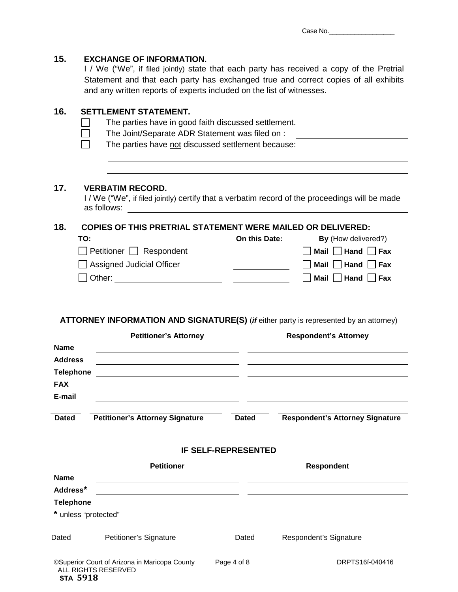| 15.                                                                    | <b>EXCHANGE OF INFORMATION.</b><br>I / We ("We", if filed jointly) state that each party has received a copy of the Pretrial<br>Statement and that each party has exchanged true and correct copies of all exhibits<br>and any written reports of experts included on the list of witnesses. |                                                                                                                                                                                                                                                                                                         |                            |                                                                                                                                                                                                                                           |  |  |  |
|------------------------------------------------------------------------|----------------------------------------------------------------------------------------------------------------------------------------------------------------------------------------------------------------------------------------------------------------------------------------------|---------------------------------------------------------------------------------------------------------------------------------------------------------------------------------------------------------------------------------------------------------------------------------------------------------|----------------------------|-------------------------------------------------------------------------------------------------------------------------------------------------------------------------------------------------------------------------------------------|--|--|--|
| 16.                                                                    |                                                                                                                                                                                                                                                                                              | <b>SETTLEMENT STATEMENT.</b><br>The parties have in good faith discussed settlement.<br>The Joint/Separate ADR Statement was filed on :<br>The parties have not discussed settlement because:                                                                                                           |                            |                                                                                                                                                                                                                                           |  |  |  |
| 17.                                                                    | as follows:                                                                                                                                                                                                                                                                                  | <b>VERBATIM RECORD.</b>                                                                                                                                                                                                                                                                                 |                            | I / We ("We", if filed jointly) certify that a verbatim record of the proceedings will be made                                                                                                                                            |  |  |  |
| 18.<br><b>Name</b><br><b>Address</b><br><b>Telephone</b><br><b>FAX</b> | TO:                                                                                                                                                                                                                                                                                          | <b>COPIES OF THIS PRETRIAL STATEMENT WERE MAILED OR DELIVERED:</b><br>$\Box$ Petitioner $\Box$ Respondent<br>$\Box$ Assigned Judicial Officer<br><b>Petitioner's Attorney</b><br><u> 1989 - Johann Stoff, deutscher Stoffen und der Stoffen und der Stoffen und der Stoffen und der Stoffen und der</u> | On this Date:              | By (How delivered?)<br>$\Box$ Mail $\Box$ Hand $\Box$ Fax<br>Mail Hand Fax<br>Mail $\Box$ Hand $\Box$ Fax<br><b>ATTORNEY INFORMATION AND SIGNATURE(S)</b> (if either party is represented by an attorney)<br><b>Respondent's Attorney</b> |  |  |  |
| E-mail<br><b>Dated</b>                                                 |                                                                                                                                                                                                                                                                                              | <b>Petitioner's Attorney Signature</b>                                                                                                                                                                                                                                                                  | <b>Dated</b>               | <b>Respondent's Attorney Signature</b>                                                                                                                                                                                                    |  |  |  |
|                                                                        |                                                                                                                                                                                                                                                                                              |                                                                                                                                                                                                                                                                                                         | <b>IF SELF-REPRESENTED</b> |                                                                                                                                                                                                                                           |  |  |  |
| <b>Name</b><br>Address*<br><b>Telephone</b>                            | * unless "protected"                                                                                                                                                                                                                                                                         | <b>Petitioner</b>                                                                                                                                                                                                                                                                                       |                            | <b>Respondent</b>                                                                                                                                                                                                                         |  |  |  |
| Dated                                                                  |                                                                                                                                                                                                                                                                                              |                                                                                                                                                                                                                                                                                                         |                            |                                                                                                                                                                                                                                           |  |  |  |
|                                                                        |                                                                                                                                                                                                                                                                                              | Petitioner's Signature                                                                                                                                                                                                                                                                                  | Dated                      | Respondent's Signature                                                                                                                                                                                                                    |  |  |  |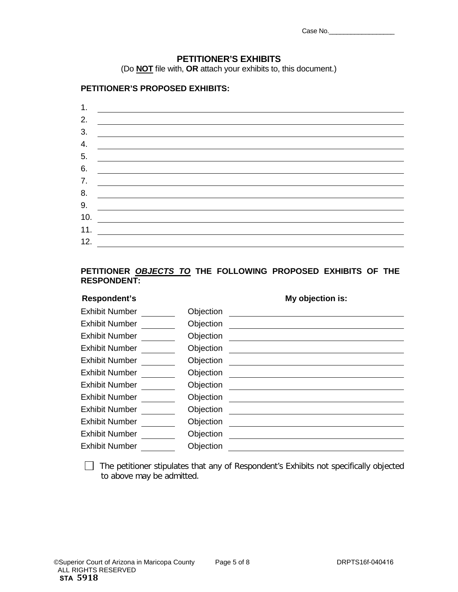| Case No. |  |  |
|----------|--|--|
|          |  |  |

# **PETITIONER'S EXHIBITS**

(Do **NOT** file with, **OR** attach your exhibits to, this document.)

#### **PETITIONER'S PROPOSED EXHIBITS:**

| 1.  |  |
|-----|--|
| 2.  |  |
| 3.  |  |
| 4.  |  |
| 5.  |  |
| 6.  |  |
| 7.  |  |
| 8.  |  |
| 9.  |  |
| 10. |  |
| 11. |  |
| 12. |  |

# **PETITIONER** *OBJECTS TO* **THE FOLLOWING PROPOSED EXHIBITS OF THE RESPONDENT:**

| Respondent's          |           | My objection is:                                                                                |
|-----------------------|-----------|-------------------------------------------------------------------------------------------------|
| <b>Exhibit Number</b> | Objection |                                                                                                 |
| <b>Exhibit Number</b> | Objection |                                                                                                 |
| <b>Exhibit Number</b> | Objection |                                                                                                 |
| <b>Exhibit Number</b> | Objection | the contract of the contract of the contract of the contract of the contract of the contract of |
| <b>Exhibit Number</b> | Objection |                                                                                                 |
| <b>Exhibit Number</b> | Objection |                                                                                                 |
| <b>Exhibit Number</b> | Objection |                                                                                                 |
| <b>Exhibit Number</b> | Objection |                                                                                                 |
| <b>Exhibit Number</b> | Objection |                                                                                                 |
| <b>Exhibit Number</b> | Objection |                                                                                                 |
| <b>Exhibit Number</b> | Objection |                                                                                                 |
| <b>Exhibit Number</b> | Objection |                                                                                                 |

 The petitioner stipulates that any of Respondent's Exhibits not specifically objected to above may be admitted.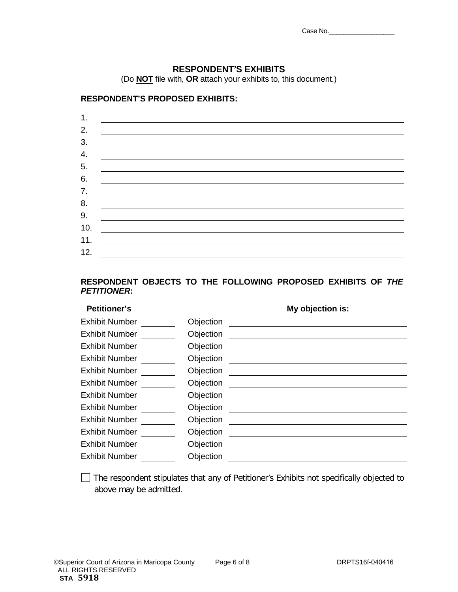| Case No. |  |  |
|----------|--|--|
|          |  |  |

# **RESPONDENT'S EXHIBITS**

(Do **NOT** file with, **OR** attach your exhibits to, this document.)

#### **RESPONDENT'S PROPOSED EXHIBITS:**

# **RESPONDENT OBJECTS TO THE FOLLOWING PROPOSED EXHIBITS OF** *THE PETITIONER***:**

# **Petitioner's My objection is:**

| <b>Exhibit Number</b> | Objection |
|-----------------------|-----------|
| <b>Exhibit Number</b> | Objection |
| <b>Exhibit Number</b> | Objection |
| <b>Exhibit Number</b> | Objection |
| <b>Exhibit Number</b> | Objection |
| <b>Exhibit Number</b> | Objection |
| <b>Exhibit Number</b> | Objection |
| <b>Exhibit Number</b> | Objection |
| <b>Exhibit Number</b> | Objection |
| <b>Exhibit Number</b> | Objection |
| <b>Exhibit Number</b> | Objection |
| <b>Exhibit Number</b> | Objection |

The respondent stipulates that any of Petitioner's Exhibits not specifically objected to above may be admitted.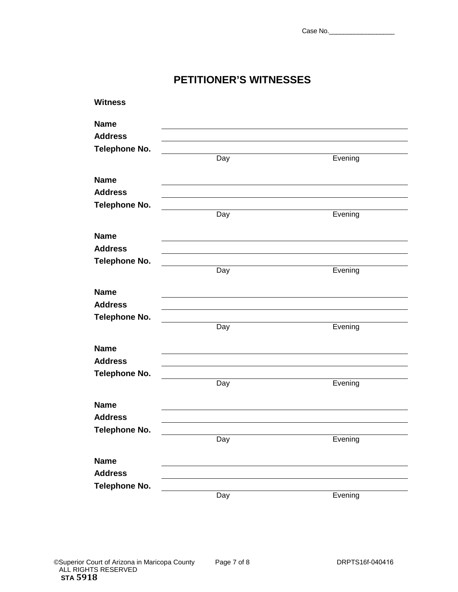# **PETITIONER'S WITNESSES**

| <b>Witness</b>       |     |         |  |
|----------------------|-----|---------|--|
| <b>Name</b>          |     |         |  |
| <b>Address</b>       |     |         |  |
| <b>Telephone No.</b> |     |         |  |
|                      | Day | Evening |  |
| <b>Name</b>          |     |         |  |
| <b>Address</b>       |     |         |  |
| <b>Telephone No.</b> |     |         |  |
|                      | Day | Evening |  |
| <b>Name</b>          |     |         |  |
| <b>Address</b>       |     |         |  |
| <b>Telephone No.</b> |     |         |  |
|                      | Day | Evening |  |
| <b>Name</b>          |     |         |  |
| <b>Address</b>       |     |         |  |
| <b>Telephone No.</b> |     |         |  |
|                      | Day | Evening |  |
| <b>Name</b>          |     |         |  |
| <b>Address</b>       |     |         |  |
| <b>Telephone No.</b> |     |         |  |
|                      | Day | Evening |  |
| <b>Name</b>          |     |         |  |
| <b>Address</b>       |     |         |  |
| <b>Telephone No.</b> |     |         |  |
|                      | Day | Evening |  |
| <b>Name</b>          |     |         |  |
| <b>Address</b>       |     |         |  |
| <b>Telephone No.</b> |     |         |  |
|                      | Day | Evening |  |